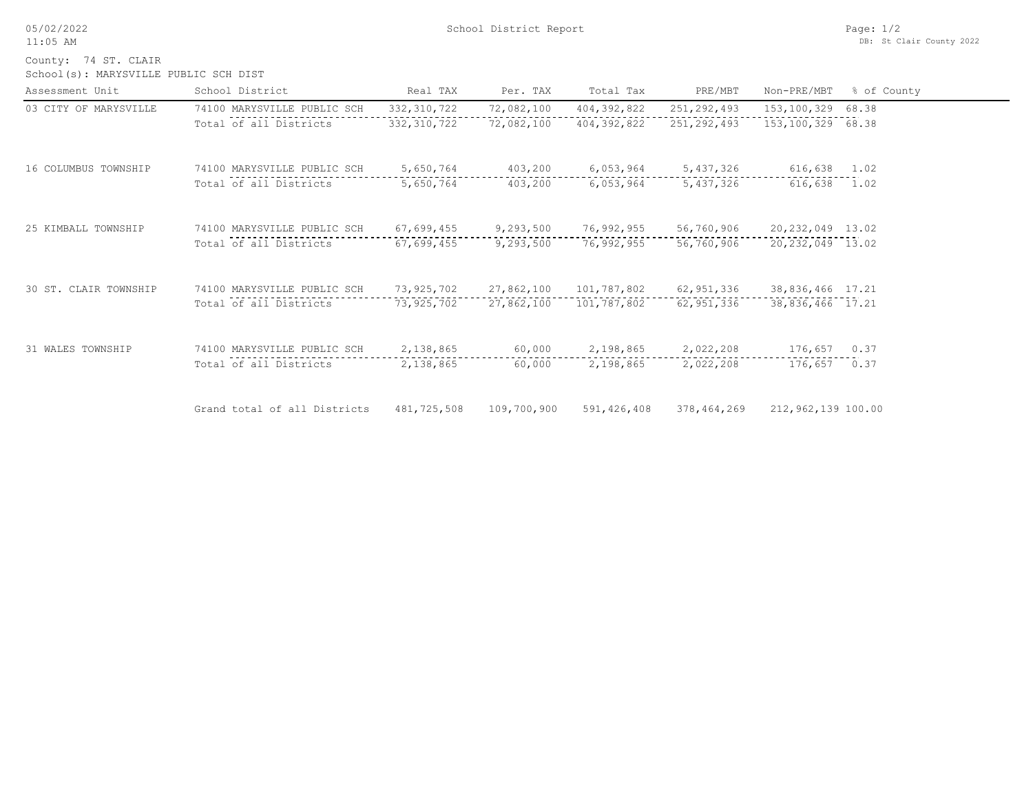05/02/2022 11:05 AM

School(s): MARYSVILLE PUBLIC SCH DIST County: 74 ST. CLAIR

| Assessment Unit       | School District              | Real TAX      | Per. TAX    | Total Tax     | PRE/MBT       | Non-PRE/MBT        | % of County |
|-----------------------|------------------------------|---------------|-------------|---------------|---------------|--------------------|-------------|
| 03 CITY OF MARYSVILLE | 74100 MARYSVILLE PUBLIC SCH  | 332, 310, 722 | 72,082,100  | 404,392,822   | 251, 292, 493 | 153,100,329        | 68.38       |
|                       | Total of all Districts       | 332, 310, 722 | 72,082,100  | 404,392,822   | 251, 292, 493 | 153,100,329 68.38  |             |
| 16 COLUMBUS TOWNSHIP  | 74100 MARYSVILLE PUBLIC SCH  | 5,650,764     | 403,200     | 6,053,964     | 5,437,326     | 616,638            | 1.02        |
|                       | Total of all Districts       | 5,650,764     | 403,200     | 6,053,964     | 5,437,326     | 616,638            | 1.02        |
| 25 KIMBALL TOWNSHIP   | 74100 MARYSVILLE PUBLIC SCH  | 67,699,455    | 9,293,500   | 76,992,955    | 56,760,906    | 20,232,049 13.02   |             |
|                       | Total of all Districts       | 67,699,455    | 9,293,500   | 76,992,955    | 56,760,906    | 20, 232, 049 13.02 |             |
| 30 ST. CLAIR TOWNSHIP | 74100 MARYSVILLE PUBLIC SCH  | 73,925,702    | 27,862,100  | 101,787,802   | 62,951,336    | 38,836,466 17.21   |             |
|                       | Total of all Districts       | 73,925,702    | 27,862,100  | 101,787,802   | 62,951,336    | 38,836,466 17.21   |             |
| 31 WALES TOWNSHIP     | 74100 MARYSVILLE PUBLIC SCH  | 2,138,865     | 60,000      | 2,198,865     | 2,022,208     | 176,657            | 0.37        |
|                       | Total of all Districts       | 2,138,865     | 60,000      | 2,198,865     | 2,022,208     | 176,657            | 0.37        |
|                       | Grand total of all Districts | 481,725,508   | 109,700,900 | 591, 426, 408 | 378,464,269   | 212,962,139 100.00 |             |